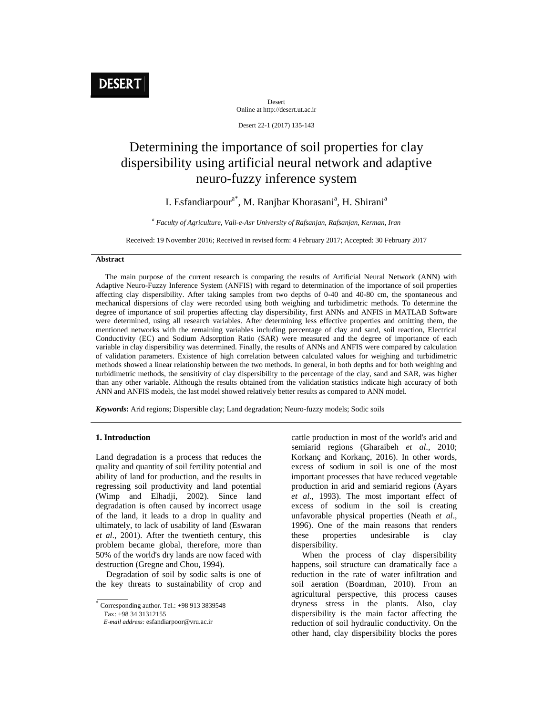Desert Online at http://desert.ut.ac.ir

Desert 22-1 (2017) 135-143

# Determining the importance of soil properties for clay dispersibility using artificial neural network and adaptive neuro-fuzzy inference system

# I. Esfandiarpour<sup>a\*</sup>, M. Ranjbar Khorasani<sup>a</sup>, H. Shirani<sup>a</sup>

*a Faculty of Agriculture, Vali-e-Asr University of Rafsanjan, Rafsanjan, Kerman, Iran* 

Received: 19 November 2016; Received in revised form: 4 February 2017; Accepted: 30 February 2017

# **Abstract**

 The main purpose of the current research is comparing the results of Artificial Neural Network (ANN) with Adaptive Neuro-Fuzzy Inference System (ANFIS) with regard to determination of the importance of soil properties affecting clay dispersibility. After taking samples from two depths of 0-40 and 40-80 cm, the spontaneous and mechanical dispersions of clay were recorded using both weighing and turbidimetric methods. To determine the degree of importance of soil properties affecting clay dispersibility, first ANNs and ANFIS in MATLAB Software were determined, using all research variables. After determining less effective properties and omitting them, the mentioned networks with the remaining variables including percentage of clay and sand, soil reaction, Electrical Conductivity (EC) and Sodium Adsorption Ratio (SAR) were measured and the degree of importance of each variable in clay dispersibility was determined. Finally, the results of ANNs and ANFIS were compared by calculation of validation parameters. Existence of high correlation between calculated values for weighing and turbidimetric methods showed a linear relationship between the two methods. In general, in both depths and for both weighing and turbidimetric methods, the sensitivity of clay dispersibility to the percentage of the clay, sand and SAR, was higher than any other variable. Although the results obtained from the validation statistics indicate high accuracy of both ANN and ANFIS models, the last model showed relatively better results as compared to ANN model.

*Keywords***:** Arid regions; Dispersible clay; Land degradation; Neuro-fuzzy models; Sodic soils

# **1. Introduction**

Land degradation is a process that reduces the quality and quantity of soil fertility potential and ability of land for production, and the results in regressing soil productivity and land potential (Wimp and Elhadji, 2002). Since land degradation is often caused by incorrect usage of the land, it leads to a drop in quality and ultimately, to lack of usability of land (Eswaran *et al*., 2001). After the twentieth century, this problem became global, therefore, more than 50% of the world's dry lands are now faced with destruction (Gregne and Chou, 1994).

 Degradation of soil by sodic salts is one of the key threats to sustainability of crop and

Fax: +98 34 31312155

cattle production in most of the world's arid and semiarid regions (Gharaibeh *et al.,* 2010; Korkanç and Korkanç, 2016). In other words, excess of sodium in soil is one of the most important processes that have reduced vegetable production in arid and semiarid regions (Ayars *et al*., 1993). The most important effect of excess of sodium in the soil is creating unfavorable physical properties (Neath *et al*., 1996). One of the main reasons that renders these properties undesirable is clay dispersibility.

 When the process of clay dispersibility happens, soil structure can dramatically face a reduction in the rate of water infiltration and soil aeration (Boardman, 2010). From an agricultural perspective, this process causes dryness stress in the plants. Also, clay dispersibility is the main factor affecting the reduction of soil hydraulic conductivity. On the other hand, clay dispersibility blocks the pores

 Corresponding author. Tel.: +98 913 3839548

*E-mail address:* esfandiarpoor@vru.ac.ir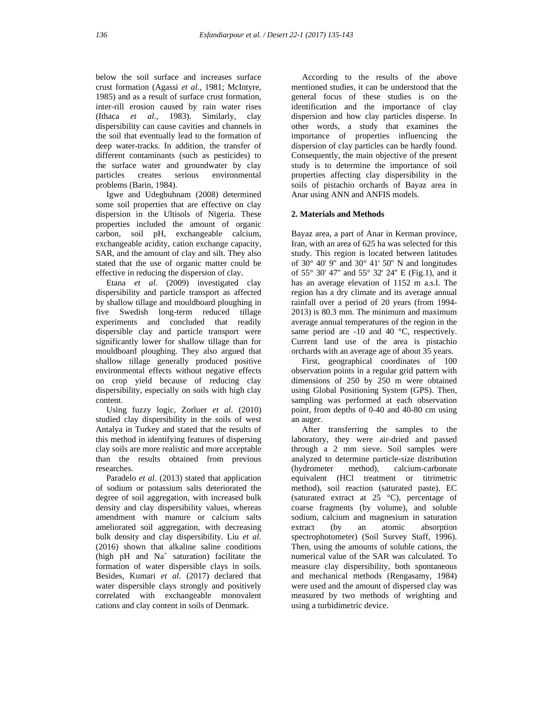below the soil surface and increases surface crust formation (Agassi *et al.*, 1981; McIntyre, 1985) and as a result of surface crust formation, inter-rill erosion caused by rain water rises (Ithaca *et al*., 1983). Similarly, clay dispersibility can cause cavities and channels in the soil that eventually lead to the formation of deep water-tracks. In addition, the transfer of different contaminants (such as pesticides) to the surface water and groundwater by clay particles creates serious environmental problems (Barin, 1984).

 Igwe and Udegbuhnam (2008) determined some soil properties that are effective on clay dispersion in the Ultisols of Nigeria. These properties included the amount of organic carbon, soil pH, exchangeable calcium, exchangeable acidity, cation exchange capacity, SAR, and the amount of clay and silt. They also stated that the use of organic matter could be effective in reducing the dispersion of clay.

 Etana *et al*. (2009) investigated clay dispersibility and particle transport as affected by shallow tillage and mouldboard ploughing in five Swedish long-term reduced tillage experiments and concluded that readily dispersible clay and particle transport were significantly lower for shallow tillage than for mouldboard ploughing. They also argued that shallow tillage generally produced positive environmental effects without negative effects on crop yield because of reducing clay dispersibility, especially on soils with high clay content.

 Using fuzzy logic, Zorluer *et al*. (2010) studied clay dispersibility in the soils of west Antalya in Turkey and stated that the results of this method in identifying features of dispersing clay soils are more realistic and more acceptable than the results obtained from previous researches.

 Paradelo *et al*. (2013) stated that application of sodium or potassium salts deteriorated the degree of soil aggregation, with increased bulk density and clay dispersibility values, whereas amendment with manure or calcium salts ameliorated soil aggregation, with decreasing bulk density and clay dispersibility. Liu *et al.* (2016) shown that alkaline saline conditions (high  $pH$  and  $Na<sup>+</sup>$  saturation) facilitate the formation of water dispersible clays in soils. Besides, Kumari *et al*. (2017) declared that water dispersible clays strongly and positively correlated with exchangeable monovalent cations and clay content in soils of Denmark.

 According to the results of the above mentioned studies, it can be understood that the general focus of these studies is on the identification and the importance of clay dispersion and how clay particles disperse. In other words, a study that examines the importance of properties influencing the dispersion of clay particles can be hardly found. Consequently, the main objective of the present study is to determine the importance of soil properties affecting clay dispersibility in the soils of pistachio orchards of Bayaz area in Anar using ANN and ANFIS models.

# **2. Materials and Methods**

Bayaz area, a part of Anar in Kerman province, Iran, with an area of 625 ha was selected for this study. This region is located between latitudes of  $30^{\circ}$  40' 9" and  $30^{\circ}$  41' 50" N and longitudes of 55° 30' 47'' and 55° 32' 24'' E (Fig.1), and it has an average elevation of 1152 m a.s.l. The region has a dry climate and its average annual rainfall over a period of 20 years (from 1994- 2013) is 80.3 mm. The minimum and maximum average annual temperatures of the region in the same period are -10 and 40 °C, respectively. Current land use of the area is pistachio orchards with an average age of about 35 years.

 First, geographical coordinates of 100 observation points in a regular grid pattern with dimensions of 250 by 250 m were obtained using Global Positioning System (GPS). Then, sampling was performed at each observation point, from depths of 0-40 and 40-80 cm using an auger.

 After transferring the samples to the laboratory, they were air-dried and passed through a 2 mm sieve. Soil samples were analyzed to determine particle-size distribution (hydrometer method), calcium-carbonate equivalent (HCl treatment or titrimetric method), soil reaction (saturated paste), EC (saturated extract at 25 °C), percentage of coarse fragments (by volume), and soluble sodium, calcium and magnesium in saturation extract (by an atomic absorption spectrophotometer) (Soil Survey Staff, 1996). Then, using the amounts of soluble cations, the numerical value of the SAR was calculated. To measure clay dispersibility, both spontaneous and mechanical methods (Rengasamy, 1984) were used and the amount of dispersed clay was measured by two methods of weighting and using a turbidimetric device.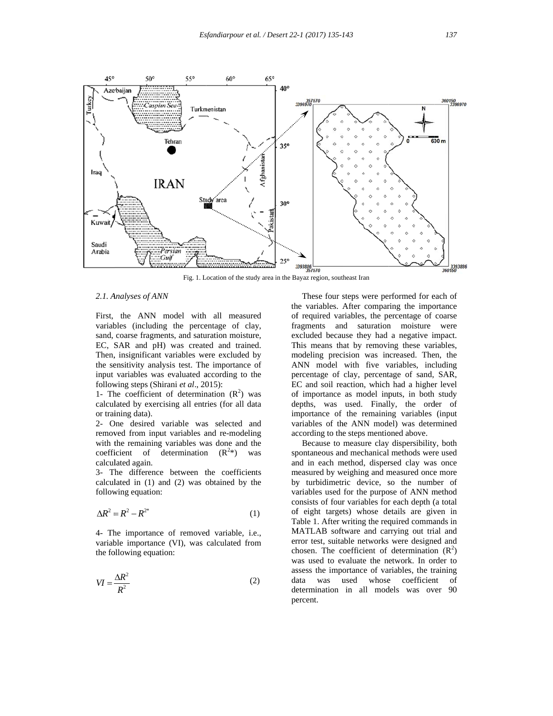

Fig. 1. Location of the study area in the Bayaz region, southeast Iran

#### 2.1. Analyses of ANN

First, the ANN model with all measured variables (including the percentage of clay, sand, coarse fragments, and saturation moisture, EC, SAR and pH) was created and trained. Then, insignificant variables were excluded by the sensitivity analysis test. The importance of input variables was evaluated according to the following steps (Shirani et al., 2015):

1- The coefficient of determination  $(R^2)$  was calculated by exercising all entries (for all data or training data).

2- O One desired variable was s selected a and removed from input variables and re-modeling with the remaining variables was done and the coefficient of determination  $(R^{2*})$  was calcul lated again.

3- The difference between the coefficients calculated in  $(1)$  and  $(2)$  was obtained by the following equation:

$$
\Delta R^2 = R^2 - R^{2^*} \tag{1}
$$

4- The importance of removed variable, i.e., variable importance (VI), was calculated from the following equation:

$$
VI = \frac{\Delta R^2}{R^2} \tag{2}
$$

the variables. After comparing the importance of required variables, the percentage of coarse fragments and saturation moisture were excluded because they had a negative impact. This means that by removing these variables, modeling precision was increased. Then, the ANN model with five variables, including percentage of clay, percentage of sand, SAR, EC and soil reaction, which had a higher level of f importance as model inp puts, in both study depths, was used. Finally, the order of importance of the remaining variables (input variables of the ANN model) was determined according to the steps mentioned above. These four steps were performed for each of

spontaneous and mechanical methods were used and in each method, dispersed clay was once measured by weighing and measured once more by turbidimetric device, so the number of variables used for the purpose of ANN method consists of four variables for each depth (a total of eight targets) whose details are given in Table 1. After writing the required commands in MATLAB software and carrying out trial and error test, suitable networks were designed and chosen. The coefficient of determination  $(R^2)$ was used to evaluate the network. In order to assess the importance of variables, the training da determination in all models was over 90 percent. Because to measure clay dispersibility, both ata was used whose coefficien nt of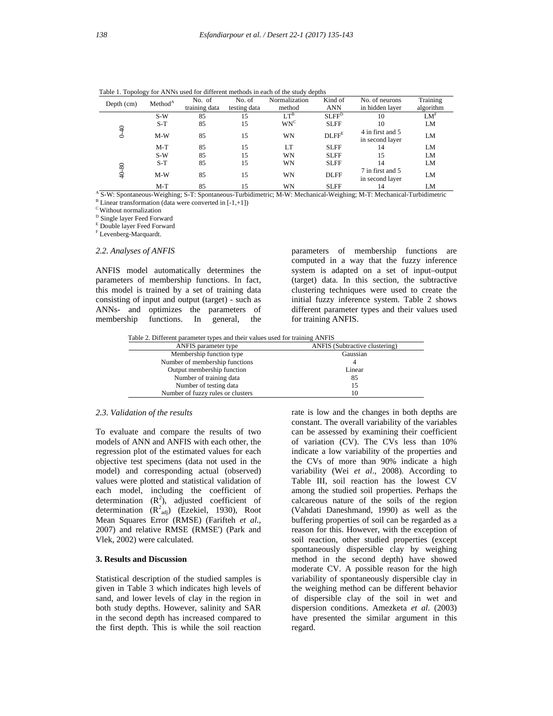|                    | Method <sup>A</sup> | No. of        | No. of       | Normalization   | Kind of           | No. of neurons                      | Training        |
|--------------------|---------------------|---------------|--------------|-----------------|-------------------|-------------------------------------|-----------------|
| Depth (cm)         |                     | training data | testing data | method          | <b>ANN</b>        | in hidden layer                     | algorithm       |
|                    | $S-W$               | 85            | 15           | $LT^B$          | SLFF <sup>D</sup> | 10                                  | LM <sup>F</sup> |
|                    | $S-T$               | 85            | 15           | WN <sup>C</sup> | <b>SLFF</b>       | 10                                  | LM              |
| $\frac{4}{ }$<br>é | $M-W$               | 85            | 15           | WN              | $D LFF^E$         | 4 in first and 5<br>in second layer | LM              |
|                    | $M-T$               | 85            | 15           | LT              | <b>SLFF</b>       | 14                                  | LM              |
|                    | $S-W$               | 85            | 15           | WN              | <b>SLFF</b>       | 15                                  | LM              |
|                    | $S-T$               | 85            | 15           | WN              | <b>SLFF</b>       | 14                                  | LM              |
| 40-80              | $M-W$               | 85            | 15           | WN              | <b>DLFF</b>       | 7 in first and 5<br>in second layer | LM              |
|                    | $M-T$               | 85            | 15           | WN              | <b>SLFF</b>       | 14                                  | LM              |

Table 1. Topology for ANNs used for different methods in each of the study depths

<sup>A</sup> S-W: Spontaneous-Weighing; S-T: Spontaneous-Turbidimetric; M-W: Mechanical-Weighing; M-T: Mechanical-Turbidimetric  $B$  Linear transformation (data were converted in  $[-1, +1]$ )

C Without normalization

D Single layer Feed Forward

E Double layer Feed Forward

F Levenberg-Marquardt.

#### *2.2. Analyses of ANFIS*

ANFIS model automatically determines the parameters of membership functions. In fact, this model is trained by a set of training data consisting of input and output (target) - such as ANNs- and optimizes the parameters of membership functions. In general, the parameters of membership functions are computed in a way that the fuzzy inference system is adapted on a set of input–output (target) data. In this section, the subtractive clustering techniques were used to create the initial fuzzy inference system. Table 2 shows different parameter types and their values used for training ANFIS.

Table 2. Different parameter types and their values used for training ANFIS

| ANFIS parameter type              | ANFIS (Subtractive clustering) |
|-----------------------------------|--------------------------------|
| Membership function type          | Gaussian                       |
| Number of membership functions    |                                |
| Output membership function        | Linear                         |
| Number of training data           | 85                             |
| Number of testing data            | 15                             |
| Number of fuzzy rules or clusters |                                |

#### *2.3. Validation of the results*

To evaluate and compare the results of two models of ANN and ANFIS with each other, the regression plot of the estimated values for each objective test specimens (data not used in the model) and corresponding actual (observed) values were plotted and statistical validation of each model, including the coefficient of determination  $(R^2)$ , adjusted coefficient of determination  $(R^2_{adj})$  (Ezekiel, 1930), Root Mean Squares Error (RMSE) (Farifteh *et al*., 2007) and relative RMSE (RMSE') (Park and Vlek, 2002) were calculated.

# **3. Results and Discussion**

Statistical description of the studied samples is given in Table 3 which indicates high levels of sand, and lower levels of clay in the region in both study depths. However, salinity and SAR in the second depth has increased compared to the first depth. This is while the soil reaction rate is low and the changes in both depths are constant. The overall variability of the variables can be assessed by examining their coefficient of variation (CV). The CVs less than 10% indicate a low variability of the properties and the CVs of more than 90% indicate a high variability (Wei *et al*., 2008). According to Table III, soil reaction has the lowest CV among the studied soil properties. Perhaps the calcareous nature of the soils of the region (Vahdati Daneshmand, 1990) as well as the buffering properties of soil can be regarded as a reason for this. However, with the exception of soil reaction, other studied properties (except spontaneously dispersible clay by weighing method in the second depth) have showed moderate CV. A possible reason for the high variability of spontaneously dispersible clay in the weighing method can be different behavior of dispersible clay of the soil in wet and dispersion conditions. Amezketa *et al*. (2003) have presented the similar argument in this regard.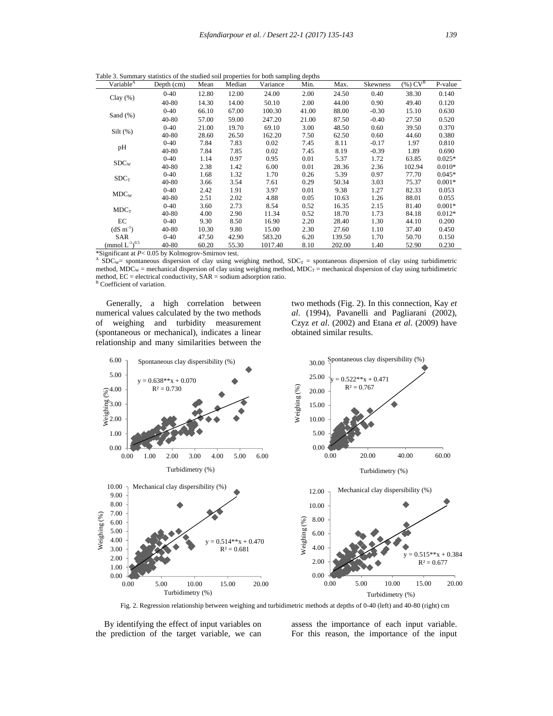Table 3. Summary statistics of the studied soil properties for both sampling depths

| Variable <sup>A</sup>             | Depth $(cm)$ | Mean  | Median | Variance | Min.  | Max.   | Skewness | $\overline{({\%})}$ $\overline{CV}^B$ | P-value  |
|-----------------------------------|--------------|-------|--------|----------|-------|--------|----------|---------------------------------------|----------|
| Clay $(\% )$                      | $0 - 40$     | 12.80 | 12.00  | 24.00    | 2.00  | 24.50  | 0.40     | 38.30                                 | 0.140    |
|                                   | $40 - 80$    | 14.30 | 14.00  | 50.10    | 2.00  | 44.00  | 0.90     | 49.40                                 | 0.120    |
|                                   | $0 - 40$     | 66.10 | 67.00  | 100.30   | 41.00 | 88.00  | $-0.30$  | 15.10                                 | 0.630    |
| Sand $(\% )$                      | $40 - 80$    | 57.00 | 59.00  | 247.20   | 21.00 | 87.50  | $-0.40$  | 27.50                                 | 0.520    |
| Silt( %)                          | $0 - 40$     | 21.00 | 19.70  | 69.10    | 3.00  | 48.50  | 0.60     | 39.50                                 | 0.370    |
|                                   | 40-80        | 28.60 | 26.50  | 162.20   | 7.50  | 62.50  | 0.60     | 44.60                                 | 0.380    |
|                                   | $0 - 40$     | 7.84  | 7.83   | 0.02     | 7.45  | 8.11   | $-0.17$  | 1.97                                  | 0.810    |
| pH                                | $40 - 80$    | 7.84  | 7.85   | 0.02     | 7.45  | 8.19   | $-0.39$  | 1.89                                  | 0.690    |
| SDC <sub>W</sub>                  | $0 - 40$     | 1.14  | 0.97   | 0.95     | 0.01  | 5.37   | 1.72     | 63.85                                 | $0.025*$ |
|                                   | $40 - 80$    | 2.38  | 1.42   | 6.00     | 0.01  | 28.36  | 2.36     | 102.94                                | $0.010*$ |
|                                   | $0 - 40$     | 1.68  | 1.32   | 1.70     | 0.26  | 5.39   | 0.97     | 77.70                                 | $0.045*$ |
| $SDC_T$                           | $40 - 80$    | 3.66  | 3.54   | 7.61     | 0.29  | 50.34  | 3.03     | 75.37                                 | $0.001*$ |
| MDC <sub>w</sub>                  | $0 - 40$     | 2.42  | 1.91   | 3.97     | 0.01  | 9.38   | 1.27     | 82.33                                 | 0.053    |
|                                   | 40-80        | 2.51  | 2.02   | 4.88     | 0.05  | 10.63  | 1.26     | 88.01                                 | 0.055    |
|                                   | $0 - 40$     | 3.60  | 2.73   | 8.54     | 0.52  | 16.35  | 2.15     | 81.40                                 | $0.001*$ |
| $MDC_T$                           | 40-80        | 4.00  | 2.90   | 11.34    | 0.52  | 18.70  | 1.73     | 84.18                                 | $0.012*$ |
| EC                                | $0 - 40$     | 9.30  | 8.50   | 16.90    | 2.20  | 28.40  | 1.30     | 44.10                                 | 0.200    |
| $(dS \, m^{-1})$                  | 40-80        | 10.30 | 9.80   | 15.00    | 2.30  | 27.60  | 1.10     | 37.40                                 | 0.450    |
| <b>SAR</b>                        | $0 - 40$     | 47.50 | 42.90  | 583.20   | 6.20  | 139.50 | 1.70     | 50.70                                 | 0.150    |
| $\rm (mmol\ L^{\text{-}1})^{0.5}$ | 40-80        | 60.20 | 55.30  | 1017.40  | 8.10  | 202.00 | 1.40     | 52.90                                 | 0.230    |

\*Significant at *P*< 0.05 by Kolmogrov-Smirnov test.<br>A SDC<sub>W</sub>= spontaneous dispersion of clay using weighing method, SDC<sub>T</sub> = spontaneous dispersion of clay using turbidimetric method,  $MDC_W$  = mechanical dispersion of clay using weighing method,  $MDC_T$  = mechanical dispersion of clay using turbidimetric method, EC = electrical conductivity, SAR = sodium adsorption ratio. <sup>B</sup> Coefficient of variation.

 Generally, a high correlation between numerical values calculated by the two methods of weighing and turbidity measurement (spontaneous or mechanical), indicates a linear relationship and many similarities between the

two methods (Fig. 2). In this connection, Kay *et al*. (1994), Pavanelli and Pagliarani (2002), Czyz *et al*. (2002) and Etana *et al*. (2009) have obtained similar results.



Fig. 2. Regression relationship between weighing and turbidimetric methods at depths of 0-40 (left) and 40-80 (right) cm

 By identifying the effect of input variables on the prediction of the target variable, we can

assess the importance of each input variable. For this reason, the importance of the input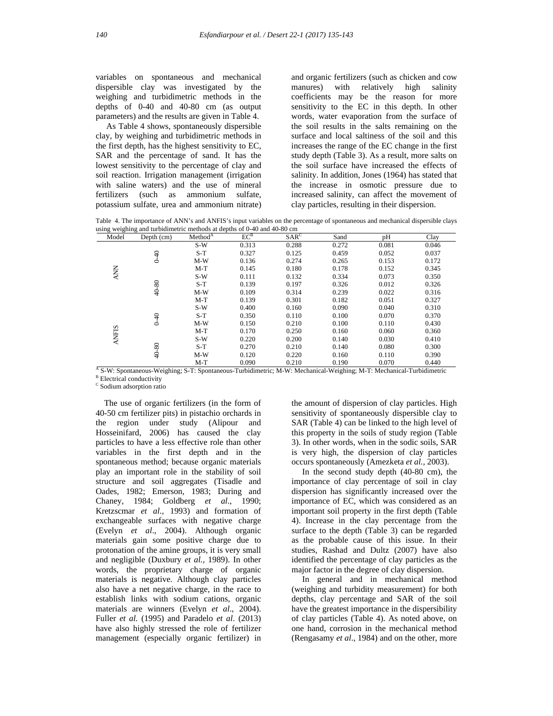variables on spontaneous and mechanical dispersible clay was investigated by the weighing and turbidimetric methods in the depths of 0-40 and 40-80 cm (as output parameters) and the results are given in Table 4.

 As Table 4 shows, spontaneously dispersible clay, by weighing and turbidimetric methods in the first depth, has the highest sensitivity to EC, SAR and the percentage of sand. It has the lowest sensitivity to the percentage of clay and soil reaction. Irrigation management (irrigation with saline waters) and the use of mineral fertilizers (such as ammonium sulfate, potassium sulfate, urea and ammonium nitrate)

and organic fertilizers (such as chicken and cow manures) with relatively high salinity coefficients may be the reason for more sensitivity to the EC in this depth. In other words, water evaporation from the surface of the soil results in the salts remaining on the surface and local saltiness of the soil and this increases the range of the EC change in the first study depth (Table 3). As a result, more salts on the soil surface have increased the effects of salinity. In addition, Jones (1964) has stated that the increase in osmotic pressure due to increased salinity, can affect the movement of clay particles, resulting in their dispersion.

Table 4. The importance of ANN's and ANFIS's input variables on the percentage of spontaneous and mechanical dispersible clays using weighing and turbidimetric methods at depths of 0-40 and 40-80 cm

| Model        | Depth $(cm)$ | Method <sup>A</sup> | $EC^B$ | SAR <sup>C</sup> | Sand  | pH    | Clay  |
|--------------|--------------|---------------------|--------|------------------|-------|-------|-------|
|              |              | $S-W$               | 0.313  | 0.288            | 0.272 | 0.081 | 0.046 |
|              | $0 + 0$      | $S-T$               | 0.327  | 0.125            | 0.459 | 0.052 | 0.037 |
|              |              | $M-W$               | 0.136  | 0.274            | 0.265 | 0.153 | 0.172 |
|              |              | $M-T$               | 0.145  | 0.180            | 0.178 | 0.152 | 0.345 |
| <b>ANN</b>   |              | $S-W$               | 0.111  | 0.132            | 0.334 | 0.073 | 0.350 |
|              |              | $S-T$               | 0.139  | 0.197            | 0.326 | 0.012 | 0.326 |
|              | 40-80        | $M-W$               | 0.109  | 0.314            | 0.239 | 0.022 | 0.316 |
|              |              | $M-T$               | 0.139  | 0.301            | 0.182 | 0.051 | 0.327 |
|              |              | $S-W$               | 0.400  | 0.160            | 0.090 | 0.040 | 0.310 |
| <b>ANFIS</b> | $0 - 40$     | $S-T$               | 0.350  | 0.110            | 0.100 | 0.070 | 0.370 |
|              |              | $M-W$               | 0.150  | 0.210            | 0.100 | 0.110 | 0.430 |
|              |              | $M-T$               | 0.170  | 0.250            | 0.160 | 0.060 | 0.360 |
|              |              | $S-W$               | 0.220  | 0.200            | 0.140 | 0.030 | 0.410 |
|              |              | $S-T$               | 0.270  | 0.210            | 0.140 | 0.080 | 0.300 |
|              | 40-80        | $M-W$               | 0.120  | 0.220            | 0.160 | 0.110 | 0.390 |
|              |              | $M-T$               | 0.090  | 0.210            | 0.190 | 0.070 | 0.440 |

 $^{\text{A}}$  S-W: Spontaneous-Weighing; S-T: Spontaneous-Turbidimetric; M-W: Mechanical-Weighing; M-T: Mechanical-Turbidimetric <sup>B</sup> Electrical conductivity

<sup>C</sup> Sodium adsorption ratio

The use of organic fertilizers (in the form of 40-50 cm fertilizer pits) in pistachio orchards in the region under study (Alipour and Hosseinifard, 2006) has caused the clay particles to have a less effective role than other variables in the first depth and in the spontaneous method; because organic materials play an important role in the stability of soil structure and soil aggregates (Tisadle and Oades, 1982; Emerson, 1983; During and Chaney, 1984; Goldberg *et al*., 1990; Kretzscmar *et al.,* 1993) and formation of exchangeable surfaces with negative charge (Evelyn *et al*., 2004). Although organic materials gain some positive charge due to protonation of the amine groups, it is very small and negligible (Duxbury *et al.,* 1989). In other words, the proprietary charge of organic materials is negative. Although clay particles also have a net negative charge, in the race to establish links with sodium cations, organic materials are winners (Evelyn *et al*., 2004). Fuller *et al.* (1995) and Paradelo *et al*. (2013) have also highly stressed the role of fertilizer management (especially organic fertilizer) in the amount of dispersion of clay particles. High sensitivity of spontaneously dispersible clay to SAR (Table 4) can be linked to the high level of this property in the soils of study region (Table 3). In other words, when in the sodic soils, SAR is very high, the dispersion of clay particles occurs spontaneously (Amezketa *et al.,* 2003).

 In the second study depth (40-80 cm), the importance of clay percentage of soil in clay dispersion has significantly increased over the importance of EC, which was considered as an important soil property in the first depth (Table 4). Increase in the clay percentage from the surface to the depth (Table 3) can be regarded as the probable cause of this issue. In their studies, Rashad and Dultz (2007) have also identified the percentage of clay particles as the major factor in the degree of clay dispersion.

 In general and in mechanical method (weighing and turbidity measurement) for both depths, clay percentage and SAR of the soil have the greatest importance in the dispersibility of clay particles (Table 4). As noted above, on one hand, corrosion in the mechanical method (Rengasamy *et al*., 1984) and on the other, more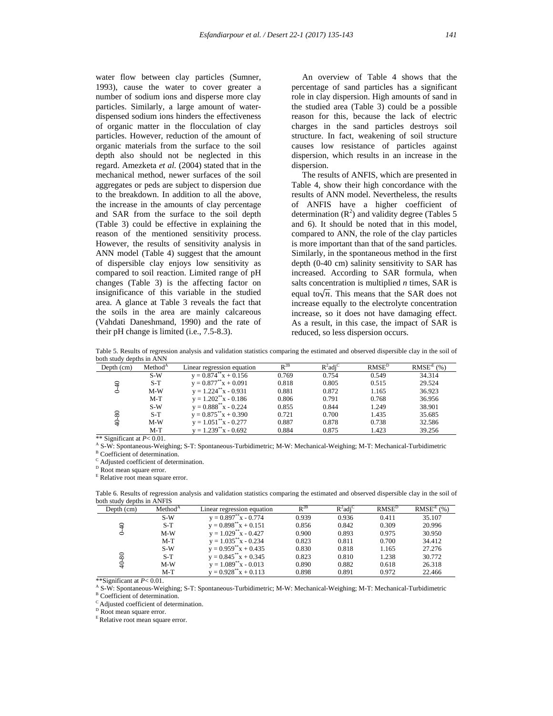water flow between clay particles (Sumner, 1993), cause the water to cover greater a number of sodium ions and disperse more clay particles. Similarly, a large amount of waterdispensed sodium ions hinders the effectiveness of organic matter in the flocculation of clay particles. However, reduction of the amount of organic materials from the surface to the soil depth also should not be neglected in this regard. Amezketa *et al.* (2004) stated that in the mechanical method, newer surfaces of the soil aggregates or peds are subject to dispersion due to the breakdown. In addition to all the above, the increase in the amounts of clay percentage and SAR from the surface to the soil depth (Table 3) could be effective in explaining the reason of the mentioned sensitivity process. However, the results of sensitivity analysis in ANN model (Table 4) suggest that the amount of dispersible clay enjoys low sensitivity as compared to soil reaction. Limited range of pH changes (Table 3) is the affecting factor on insignificance of this variable in the studied area. A glance at Table 3 reveals the fact that the soils in the area are mainly calcareous (Vahdati Daneshmand, 1990) and the rate of their pH change is limited (i.e., 7.5-8.3).

 An overview of Table 4 shows that the percentage of sand particles has a significant role in clay dispersion. High amounts of sand in the studied area (Table 3) could be a possible reason for this, because the lack of electric charges in the sand particles destroys soil structure. In fact, weakening of soil structure causes low resistance of particles against dispersion, which results in an increase in the dispersion.

 The results of ANFIS, which are presented in Table 4, show their high concordance with the results of ANN model. Nevertheless, the results of ANFIS have a higher coefficient of determination  $(R^2)$  and validity degree (Tables 5) and 6). It should be noted that in this model, compared to ANN, the role of the clay particles is more important than that of the sand particles. Similarly, in the spontaneous method in the first depth (0-40 cm) salinity sensitivity to SAR has increased. According to SAR formula, when salts concentration is multiplied *n* times, SAR is equal to $\sqrt{n}$ . This means that the SAR does not increase equally to the electrolyte concentration increase, so it does not have damaging effect. As a result, in this case, the impact of SAR is reduced, so less dispersion occurs.

Table 5. Results of regression analysis and validation statistics comparing the estimated and observed dispersible clay in the soil of both study depths in ANN

| Depth $(cm)$ | Method <sup>A</sup> | Linear regression equation | $R^{2B}$ | $R^2$ adi <sup>C</sup> | RMSE <sup>D</sup> | RMSE <sup>E</sup> (%) |
|--------------|---------------------|----------------------------|----------|------------------------|-------------------|-----------------------|
|              | $S-W$               | $y = 0.874^{**}x + 0.156$  | 0.769    | 0.754                  | 0.549             | 34.314                |
| ₽            | $S-T$               | $y = 0.877^{**}x + 0.091$  | 0.818    | 0.805                  | 0.515             | 29.524                |
| Ó            | $M-W$               | $y = 1.224^{**}x - 0.931$  | 0.881    | 0.872                  | 1.165             | 36.923                |
|              | $M-T$               | $y = 1.202^{**}x - 0.186$  | 0.806    | 0.791                  | 0.768             | 36.956                |
|              | $S-W$               | $y = 0.888^{**}x - 0.224$  | 0.855    | 0.844                  | 1.249             | 38.901                |
| 80           | $S-T$               | $y = 0.875^{**}x + 0.390$  | 0.721    | 0.700                  | 1.435             | 35.685                |
| ş            | $M-W$               | $y = 1.051^{**}x - 0.277$  | 0.887    | 0.878                  | 0.738             | 32.586                |
|              | $M-T$               | $y = 1.239^{**}x - 0.692$  | 0.884    | 0.875                  | 1.423             | 39.256                |

\*\* Significant at *P*< 0.01.<br><sup>A</sup> S-W: Spontaneous-Weighing; S-T: Spontaneous-Turbidimetric; M-W: Mechanical-Weighing; M-T: Mechanical-Turbidimetric <sup>B</sup> Coefficient of determination.

<sup>C</sup> Adjusted coefficient of determination.

<sup>D</sup> Root mean square error.

<sup>E</sup> Relative root mean square error.

Table 6. Results of regression analysis and validation statistics comparing the estimated and observed dispersible clay in the soil of both study depths in ANFIS

| Depth $(cm)$ | Method <sup>A</sup> | Linear regression equation      | $R^{2B}$ | $R^2$ adi <sup>C</sup> | RMSE <sup>D</sup> | RMSE <sup>E</sup> (%) |
|--------------|---------------------|---------------------------------|----------|------------------------|-------------------|-----------------------|
|              | $S-W$               | $v = 0.897^{\ast\ast}x - 0.774$ | 0.939    | 0.936                  | 0.411             | 35.107                |
| ₽            | $S-T$               | $y = 0.898^{**}x + 0.151$       | 0.856    | 0.842                  | 0.309             | 20.996                |
|              | $M-W$               | $y = 1.029^{**}x - 0.427$       | 0.900    | 0.893                  | 0.975             | 30.950                |
|              | $M-T$               | $y = 1.035^{**}x - 0.234$       | 0.823    | 0.811                  | 0.700             | 34.412                |
|              | $S-W$               | $y = 0.959^{**}x + 0.435$       | 0.830    | 0.818                  | 1.165             | 27.276                |
| 80           | $S-T$               | $y = 0.845^{**}x + 0.345$       | 0.823    | 0.810                  | 1.238             | 30.772                |
|              | $M-W$               | $y = 1.089^{**}x - 0.013$       | 0.890    | 0.882                  | 0.618             | 26.318                |
|              | $M-T$               | $y = 0.928^{\ast\ast}x + 0.113$ | 0.898    | 0.891                  | 0.972             | 22.466                |

\*\*Significant at *P*< 0.01.<br>A S-W: Spontaneous-Weighing; S-T: Spontaneous-Turbidimetric; M-W: Mechanical-Weighing; M-T: Mechanical-Turbidimetric

<sup>B</sup> Coefficient of determination.

<sup>C</sup> Adjusted coefficient of determination.

<sup>D</sup> Root mean square error.

E Relative root mean square error.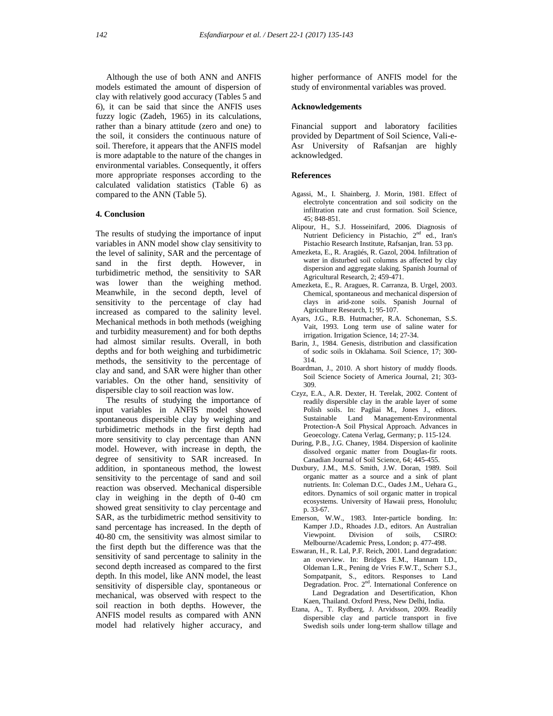Although the use of both ANN and ANFIS models estimated the amount of dispersion of clay with relatively good accuracy (Tables 5 and 6), it can be said that since the ANFIS uses fuzzy logic (Zadeh, 1965) in its calculations, rather than a binary attitude (zero and one) to the soil, it considers the continuous nature of soil. Therefore, it appears that the ANFIS model is more adaptable to the nature of the changes in environmental variables. Consequently, it offers more appropriate responses according to the calculated validation statistics (Table 6) as compared to the ANN (Table 5).

## **4. Conclusion**

The results of studying the importance of input variables in ANN model show clay sensitivity to the level of salinity, SAR and the percentage of sand in the first depth. However, in turbidimetric method, the sensitivity to SAR was lower than the weighing method. Meanwhile, in the second depth, level of sensitivity to the percentage of clay had increased as compared to the salinity level. Mechanical methods in both methods (weighing and turbidity measurement) and for both depths had almost similar results. Overall, in both depths and for both weighing and turbidimetric methods, the sensitivity to the percentage of clay and sand, and SAR were higher than other variables. On the other hand, sensitivity of dispersible clay to soil reaction was low.

 The results of studying the importance of input variables in ANFIS model showed spontaneous dispersible clay by weighing and turbidimetric methods in the first depth had more sensitivity to clay percentage than ANN model. However, with increase in depth, the degree of sensitivity to SAR increased. In addition, in spontaneous method, the lowest sensitivity to the percentage of sand and soil reaction was observed. Mechanical dispersible clay in weighing in the depth of 0-40 cm showed great sensitivity to clay percentage and SAR, as the turbidimetric method sensitivity to sand percentage has increased. In the depth of 40-80 cm, the sensitivity was almost similar to the first depth but the difference was that the sensitivity of sand percentage to salinity in the second depth increased as compared to the first depth. In this model, like ANN model, the least sensitivity of dispersible clay, spontaneous or mechanical, was observed with respect to the soil reaction in both depths. However, the ANFIS model results as compared with ANN model had relatively higher accuracy, and higher performance of ANFIS model for the study of environmental variables was proved.

## **Acknowledgements**

Financial support and laboratory facilities provided by Department of Soil Science, Vali-e-Asr University of Rafsanjan are highly acknowledged.

#### **References**

- Agassi, M., I. Shainberg, J. Morin, 1981. Effect of electrolyte concentration and soil sodicity on the infiltration rate and crust formation. Soil Science, 45; 848-851.
- Alipour, H., S.J. Hosseinifard, 2006. Diagnosis of Nutrient Deficiency in Pistachio, 2<sup>nd</sup> ed., Iran's Pistachio Research Institute, Rafsanjan, Iran. 53 pp.
- Amezketa, E., R. Aragüés, R. Gazol, 2004. Infiltration of water in disturbed soil columns as affected by clay dispersion and aggregate slaking. Spanish Journal of Agricultural Research, 2; 459-471.
- Amezketa, E., R. Aragues, R. Carranza, B. Urgel, 2003. Chemical, spontaneous and mechanical dispersion of clays in arid-zone soils. Spanish Journal of Agriculture Research, 1; 95-107.
- Ayars, J.G., R.B. Hutmacher, R.A. Schoneman, S.S. Vait, 1993. Long term use of saline water for irrigation. Irrigation Science, 14; 27-34.
- Barin, J., 1984. Genesis, distribution and classification of sodic soils in Oklahama. Soil Science, 17; 300- 314.
- Boardman, J., 2010. A short history of muddy floods. Soil Science Society of America Journal, 21; 303- 309.
- Czyz, E.A., A.R. Dexter, H. Terelak, 2002. Content of readily dispersible clay in the arable layer of some Polish soils. In: Pagliai M., Jones J., editors. Sustainable Land Management-Environmental Protection-A Soil Physical Approach. Advances in Geoecology. Catena Verlag, Germany; p. 115-124.
- During, P.B., J.G. Chaney, 1984. Dispersion of kaolinite dissolved organic matter from Douglas-fir roots. Canadian Journal of Soil Science, 64; 445-455.
- Duxbury, J.M., M.S. Smith, J.W. Doran, 1989. Soil organic matter as a source and a sink of plant nutrients. In: Coleman D.C., Oades J.M., Uehara G., editors. Dynamics of soil organic matter in tropical ecosystems. University of Hawaii press, Honolulu; p. 33-67.
- Emerson, W.W., 1983. Inter-particle bonding. In: Kamper J.D., Rhoades J.D., editors. An Australian Viewpoint. Division of soils, CSIRO: Melbourne/Academic Press, London; p. 477-498.
- Eswaran, H., R. Lal, P.F. Reich, 2001. Land degradation: an overview. In: Bridges E.M., Hannam I.D., Oldeman L.R., Pening de Vries F.W.T., Scherr S.J., Sompatpanit, S., editors. Responses to Land Degradation. Proc. 2<sup>nd</sup>. International Conference on Land Degradation and Desertification, Khon Kaen, Thailand. Oxford Press, New Delhi, India.
- Etana, A., T. Rydberg, J. Arvidsson, 2009. Readily dispersible clay and particle transport in five Swedish soils under long-term shallow tillage and